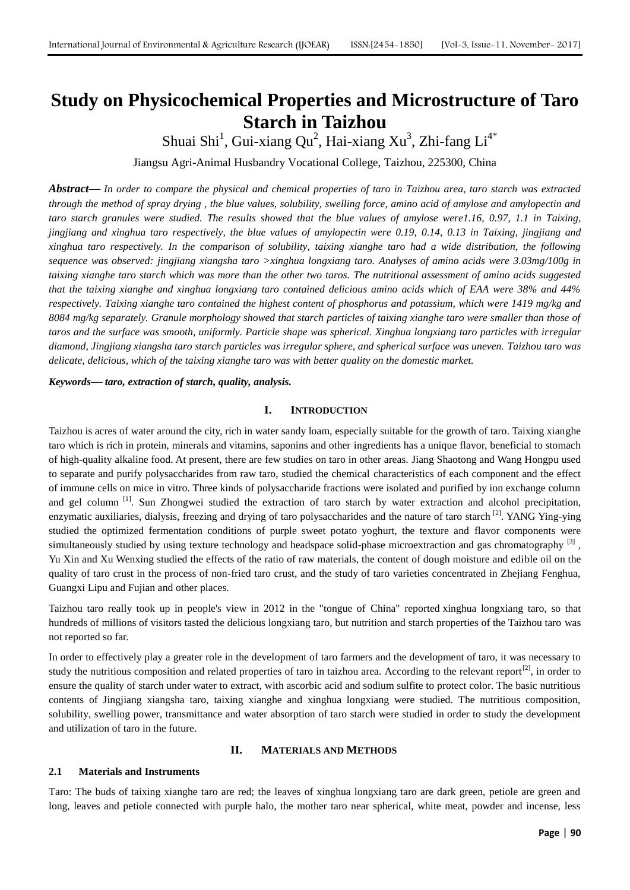# **Study on Physicochemical Properties and Microstructure of Taro Starch in Taizhou**

Shuai Shi<sup>1</sup>, Gui-xiang Qu<sup>2</sup>, Hai-xiang Xu<sup>3</sup>, Zhi-fang Li<sup>4\*</sup>

Jiangsu Agri-Animal Husbandry Vocational College, Taizhou, 225300, China

*Abstract***—** *In order to compare the physical and chemical properties of taro in Taizhou area, taro starch was extracted through the method of spray drying , the blue values, solubility, swelling force, amino acid of amylose and amylopectin and taro starch granules were studied. The results showed that the blue values of amylose were1.16, 0.97, 1.1 in Taixing, jingjiang and xinghua taro respectively, the blue values of amylopectin were 0.19, 0.14, 0.13 in Taixing, jingjiang and xinghua taro respectively. In the comparison of solubility, taixing xianghe taro had a wide distribution, the following sequence was observed: jingjiang xiangsha taro >xinghua longxiang taro. Analyses of amino acids were 3.03mg/100g in taixing xianghe taro starch which was more than the other two taros. The nutritional assessment of amino acids suggested that the taixing xianghe and xinghua longxiang taro contained delicious amino acids which of EAA were 38% and 44% respectively. Taixing xianghe taro contained the highest content of phosphorus and potassium, which were 1419 mg/kg and 8084 mg/kg separately. Granule morphology showed that starch particles of taixing xianghe taro were smaller than those of taros and the surface was smooth, uniformly. Particle shape was spherical. Xinghua longxiang taro particles with irregular diamond, Jingjiang xiangsha taro starch particles was irregular sphere, and spherical surface was uneven. Taizhou taro was delicate, delicious, which of the taixing xianghe taro was with better quality on the domestic market.*

*Keywords***—** *taro, extraction of starch, quality, analysis.*

#### **I. INTRODUCTION**

Taizhou is acres of water around the city, rich in water sandy loam, especially suitable for the growth of taro. Taixing xianghe taro which is rich in protein, minerals and vitamins, saponins and other ingredients has a unique flavor, beneficial to stomach of high-quality alkaline food. At present, there are few studies on taro in other areas. Jiang Shaotong and Wang Hongpu used to separate and purify polysaccharides from raw taro, studied the chemical characteristics of each component and the effect of immune cells on mice in vitro. Three kinds of polysaccharide fractions were isolated and purified by ion exchange column and gel column  $\left[1\right]$ . Sun Zhongwei studied the extraction of taro starch by water extraction and alcohol precipitation, enzymatic auxiliaries, dialysis, freezing and drying of taro polysaccharides and the nature of taro starch  $^{[2]}$ . YANG Ying-ying studied the optimized fermentation conditions of purple sweet potato yoghurt, the texture and flavor components were simultaneously studied by using texture technology and headspace solid-phase microextraction and gas chromatography <sup>[3]</sup>, Yu Xin and Xu Wenxing studied the effects of the ratio of raw materials, the content of dough moisture and edible oil on the quality of taro crust in the process of non-fried taro crust, and the study of taro varieties concentrated in Zhejiang Fenghua, Guangxi Lipu and Fujian and other places.

Taizhou taro really took up in people's view in 2012 in the "tongue of China" reported xinghua longxiang taro, so that hundreds of millions of visitors tasted the delicious longxiang taro, but nutrition and starch properties of the Taizhou taro was not reported so far.

In order to effectively play a greater role in the development of taro farmers and the development of taro, it was necessary to study the nutritious composition and related properties of taro in taizhou area. According to the relevant report $[2]$ , in order to ensure the quality of starch under water to extract, with ascorbic acid and sodium sulfite to protect color. The basic nutritious contents of Jingjiang xiangsha taro, taixing xianghe and xinghua longxiang were studied. The nutritious composition, solubility, swelling power, transmittance and water absorption of taro starch were studied in order to study the development and utilization of taro in the future.

#### **II. MATERIALS AND METHODS**

#### **2.1 Materials and Instruments**

Taro: The buds of taixing xianghe taro are red; the leaves of xinghua longxiang taro are dark green, petiole are green and long, leaves and petiole connected with purple halo, the mother taro near spherical, white meat, powder and incense, less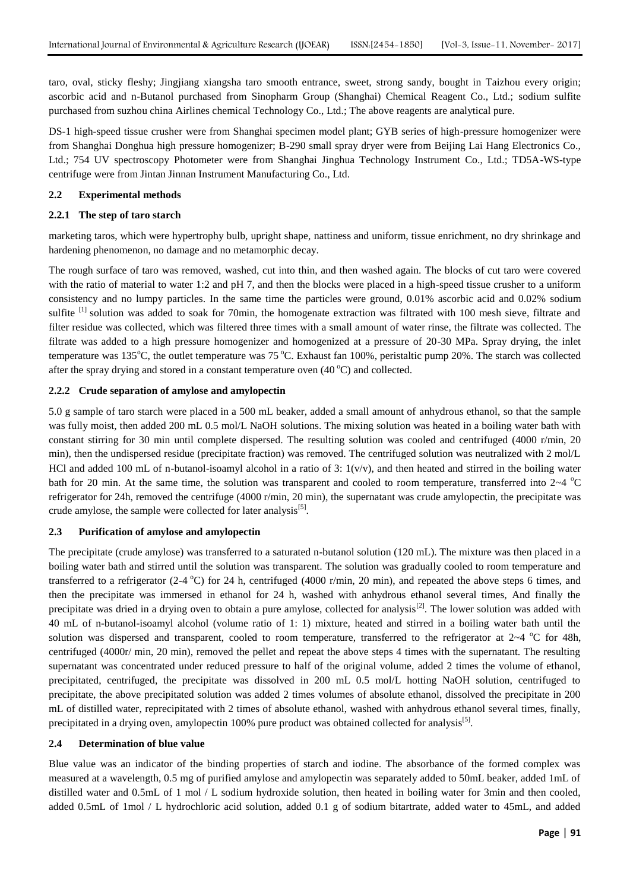taro, oval, sticky fleshy; Jingjiang xiangsha taro smooth entrance, sweet, strong sandy, bought in Taizhou every origin; ascorbic acid and n-Butanol purchased from Sinopharm Group (Shanghai) Chemical Reagent Co., Ltd.; sodium sulfite purchased from suzhou china Airlines chemical Technology Co., Ltd.; The above reagents are analytical pure.

DS-1 high-speed tissue crusher were from Shanghai specimen model plant; GYB series of high-pressure homogenizer were from Shanghai Donghua high pressure homogenizer; B-290 small spray dryer were from Beijing Lai Hang Electronics Co., Ltd.; 754 UV spectroscopy Photometer were from Shanghai Jinghua Technology Instrument Co., Ltd.; TD5A-WS-type centrifuge were from Jintan Jinnan Instrument Manufacturing Co., Ltd.

# **2.2 Experimental methods**

# **2.2.1 The step of taro starch**

marketing taros, which were hypertrophy bulb, upright shape, nattiness and uniform, tissue enrichment, no dry shrinkage and hardening phenomenon, no damage and no metamorphic decay.

The rough surface of taro was removed, washed, cut into thin, and then washed again. The blocks of cut taro were covered with the ratio of material to water 1:2 and pH 7, and then the blocks were placed in a high-speed tissue crusher to a uniform consistency and no lumpy particles. In the same time the particles were ground, 0.01% ascorbic acid and 0.02% sodium sulfite <sup>[1]</sup> solution was added to soak for 70min, the homogenate extraction was filtrated with 100 mesh sieve, filtrate and filter residue was collected, which was filtered three times with a small amount of water rinse, the filtrate was collected. The filtrate was added to a high pressure homogenizer and homogenized at a pressure of 20-30 MPa. Spray drying, the inlet temperature was  $135^{\circ}$ C, the outlet temperature was  $75^{\circ}$ C. Exhaust fan 100%, peristaltic pump 20%. The starch was collected after the spray drying and stored in a constant temperature oven  $(40^{\circ}C)$  and collected.

# **2.2.2 Crude separation of amylose and amylopectin**

5.0 g sample of taro starch were placed in a 500 mL beaker, added a small amount of anhydrous ethanol, so that the sample was fully moist, then added 200 mL 0.5 mol/L NaOH solutions. The mixing solution was heated in a boiling water bath with constant stirring for 30 min until complete dispersed. The resulting solution was cooled and centrifuged (4000 r/min, 20 min), then the undispersed residue (precipitate fraction) was removed. The centrifuged solution was neutralized with 2 mol/L HCl and added 100 mL of n-butanol-isoamyl alcohol in a ratio of 3:  $1(v/v)$ , and then heated and stirred in the boiling water bath for 20 min. At the same time, the solution was transparent and cooled to room temperature, transferred into  $2~4$  °C refrigerator for 24h, removed the centrifuge (4000 r/min, 20 min), the supernatant was crude amylopectin, the precipitate was crude amylose, the sample were collected for later analysis<sup>[5]</sup>.

# **2.3 Purification of amylose and amylopectin**

The precipitate (crude amylose) was transferred to a saturated n-butanol solution (120 mL). The mixture was then placed in a boiling water bath and stirred until the solution was transparent. The solution was gradually cooled to room temperature and transferred to a refrigerator (2-4 °C) for 24 h, centrifuged (4000 r/min, 20 min), and repeated the above steps 6 times, and then the precipitate was immersed in ethanol for 24 h, washed with anhydrous ethanol several times, And finally the precipitate was dried in a drying oven to obtain a pure amylose, collected for analysis<sup>[2]</sup>. The lower solution was added with 40 mL of n-butanol-isoamyl alcohol (volume ratio of 1: 1) mixture, heated and stirred in a boiling water bath until the solution was dispersed and transparent, cooled to room temperature, transferred to the refrigerator at  $2~4$  °C for 48h, centrifuged (4000r/ min, 20 min), removed the pellet and repeat the above steps 4 times with the supernatant. The resulting supernatant was concentrated under reduced pressure to half of the original volume, added 2 times the volume of ethanol, precipitated, centrifuged, the precipitate was dissolved in 200 mL 0.5 mol/L hotting NaOH solution, centrifuged to precipitate, the above precipitated solution was added 2 times volumes of absolute ethanol, dissolved the precipitate in 200 mL of distilled water, reprecipitated with 2 times of absolute ethanol, washed with anhydrous ethanol several times, finally, precipitated in a drying oven, amylopectin 100% pure product was obtained collected for analysis<sup>[5]</sup>.

# **2.4 Determination of blue value**

Blue value was an indicator of the binding properties of starch and iodine. The absorbance of the formed complex was measured at a wavelength, 0.5 mg of purified amylose and amylopectin was separately added to 50mL beaker, added 1mL of distilled water and 0.5mL of 1 mol / L sodium hydroxide solution, then heated in boiling water for 3min and then cooled, added 0.5mL of 1mol / L hydrochloric acid solution, added 0.1 g of sodium bitartrate, added water to 45mL, and added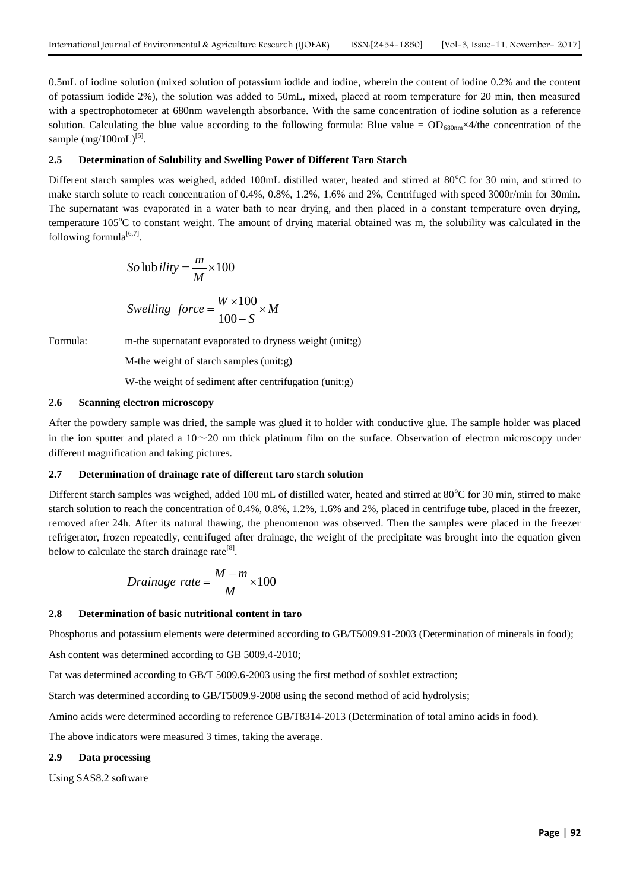0.5mL of iodine solution (mixed solution of potassium iodide and iodine, wherein the content of iodine 0.2% and the content of potassium iodide 2%), the solution was added to 50mL, mixed, placed at room temperature for 20 min, then measured with a spectrophotometer at 680nm wavelength absorbance. With the same concentration of iodine solution as a reference solution. Calculating the blue value according to the following formula: Blue value =  $OD_{680nm} \times 4$ /the concentration of the sample (mg/100mL)<sup>[5]</sup>.

#### **2.5 Determination of Solubility and Swelling Power of Different Taro Starch**

Different starch samples was weighed, added 100mL distilled water, heated and stirred at  $80^{\circ}$ C for 30 min, and stirred to make starch solute to reach concentration of 0.4%, 0.8%, 1.2%, 1.6% and 2%, Centrifuged with speed 3000r/min for 30min. The supernatant was evaporated in a water bath to near drying, and then placed in a constant temperature oven drying, temperature  $105^{\circ}$ C to constant weight. The amount of drying material obtained was m, the solubility was calculated in the following formula $^{[6,7]}$ .

So lub *ility* = 
$$
\frac{m}{M}
$$
 × 100

$$
Swelling\ force = \frac{W \times 100}{100 - S} \times M
$$

Formula: m-the supernatant evaporated to dryness weight (unit:g)

M-the weight of starch samples (unit:g)

W-the weight of sediment after centrifugation (unit:g)

#### **2.6 Scanning electron microscopy**

After the powdery sample was dried, the sample was glued it to holder with conductive glue. The sample holder was placed in the ion sputter and plated a  $10~20$  nm thick platinum film on the surface. Observation of electron microscopy under different magnification and taking pictures.

#### **2.7 Determination of drainage rate of different taro starch solution**

Different starch samples was weighed, added 100 mL of distilled water, heated and stirred at  $80^{\circ}$ C for 30 min, stirred to make starch solution to reach the concentration of 0.4%, 0.8%, 1.2%, 1.6% and 2%, placed in centrifuge tube, placed in the freezer, removed after 24h. After its natural thawing, the phenomenon was observed. Then the samples were placed in the freezer refrigerator, frozen repeatedly, centrifuged after drainage, the weight of the precipitate was brought into the equation given below to calculate the starch drainage rate<sup>[8]</sup>.

$$
Drainage\ rate = \frac{M-m}{M} \times 100
$$

#### **2.8 Determination of basic nutritional content in taro**

Phosphorus and potassium elements were determined according to GB/T5009.91-2003 (Determination of minerals in food);

Ash content was determined according to GB 5009.4-2010;

Fat was determined according to GB/T 5009.6-2003 using the first method of soxhlet extraction;

Starch was determined according to GB/T5009.9-2008 using the second method of acid hydrolysis;

Amino acids were determined according to reference GB/T8314-2013 (Determination of total amino acids in food).

The above indicators were measured 3 times, taking the average.

# **2.9 Data processing**

Using SAS8.2 software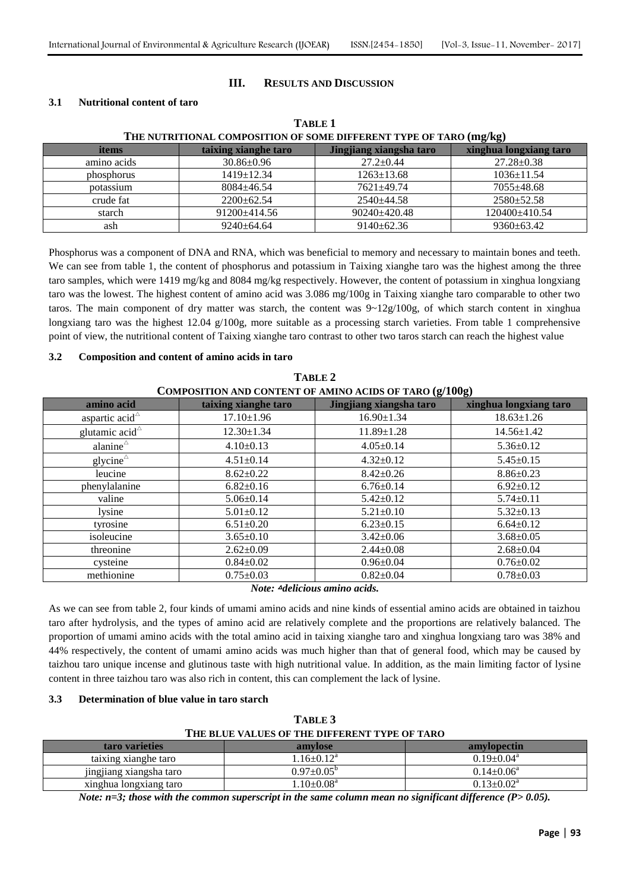# **III. RESULTS AND DISCUSSION**

# **3.1 Nutritional content of taro**

| THE NUTRITIONAL COMPOSITION OF SOME DIFFERENT TYPE OF TARO (mg/kg) |                      |                         |                        |  |  |
|--------------------------------------------------------------------|----------------------|-------------------------|------------------------|--|--|
| items                                                              | taixing xianghe taro | Jingjiang xiangsha taro | xinghua longxiang taro |  |  |
| amino acids                                                        | $30.86 \pm 0.96$     | $27.2 \pm 0.44$         | $27.28 \pm 0.38$       |  |  |
| phosphorus                                                         | $1419 \pm 12.34$     | $1263 \pm 13.68$        | $1036 \pm 11.54$       |  |  |
| potassium                                                          | $8084 + 46.54$       | $7621 + 49.74$          | $7055 \pm 48.68$       |  |  |
| crude fat                                                          | $2200+62.54$         | $2540 \pm 44.58$        | $2580 \pm 52.58$       |  |  |
| starch                                                             | $91200 \pm 414.56$   | $90240 \pm 420.48$      | 120400±410.54          |  |  |
| ash                                                                | $9240 \pm 64.64$     | $9140 \pm 62.36$        | $9360 \pm 63.42$       |  |  |

# **TABLE 1**

Phosphorus was a component of DNA and RNA, which was beneficial to memory and necessary to maintain bones and teeth. We can see from table 1, the content of phosphorus and potassium in Taixing xianghe taro was the highest among the three taro samples, which were 1419 mg/kg and 8084 mg/kg respectively. However, the content of potassium in xinghua longxiang taro was the lowest. The highest content of amino acid was 3.086 mg/100g in Taixing xianghe taro comparable to other two taros. The main component of dry matter was starch, the content was  $9 \sim 12g/100g$ , of which starch content in xinghua longxiang taro was the highest 12.04 g/100g, more suitable as a processing starch varieties. From table 1 comprehensive point of view, the nutritional content of Taixing xianghe taro contrast to other two taros starch can reach the highest value

# **3.2 Composition and content of amino acids in taro**

| TABLE 2                                                 |                      |                         |                        |  |  |
|---------------------------------------------------------|----------------------|-------------------------|------------------------|--|--|
| COMPOSITION AND CONTENT OF AMINO ACIDS OF TARO (g/100g) |                      |                         |                        |  |  |
| amino acid                                              | taixing xianghe taro | Jingjiang xiangsha taro | xinghua longxiang taro |  |  |
| aspartic acid $\triangle$                               | $17.10 \pm 1.96$     | $16.90 \pm 1.34$        | $18.63 \pm 1.26$       |  |  |
| glutamic acid $\triangle$                               | $12.30 \pm 1.34$     | $11.89 \pm 1.28$        | $14.56 \pm 1.42$       |  |  |
| alanine $\triangle$                                     | $4.10\pm0.13$        | $4.05 \pm 0.14$         | $5.36 \pm 0.12$        |  |  |
| glycine $^{\triangle}$                                  | $4.51 \pm 0.14$      | $4.32 \pm 0.12$         | $5.45 \pm 0.15$        |  |  |
| leucine                                                 | $8.62 \pm 0.22$      | $8.42 \pm 0.26$         | $8.86 \pm 0.23$        |  |  |
| phenylalanine                                           | $6.82 \pm 0.16$      | $6.76 \pm 0.14$         | $6.92 \pm 0.12$        |  |  |
| valine                                                  | $5.06 \pm 0.14$      | $5.42 \pm 0.12$         | $5.74 \pm 0.11$        |  |  |
| lysine                                                  | $5.01 \pm 0.12$      | $5.21 \pm 0.10$         | $5.32 \pm 0.13$        |  |  |
| tyrosine                                                | $6.51 \pm 0.20$      | $6.23 \pm 0.15$         | $6.64 \pm 0.12$        |  |  |
| isoleucine                                              | $3.65 \pm 0.10$      | $3.42 \pm 0.06$         | $3.68 \pm 0.05$        |  |  |
| threonine                                               | $2.62 \pm 0.09$      | $2.44 \pm 0.08$         | $2.68 \pm 0.04$        |  |  |
| cysteine                                                | $0.84 \pm 0.02$      | $0.96 \pm 0.04$         | $0.76 \pm 0.02$        |  |  |
| methionine                                              | $0.75 \pm 0.03$      | $0.82 \pm 0.04$         | $0.78 \pm 0.03$        |  |  |

*Note:* △*delicious amino acids.*

As we can see from table 2, four kinds of umami amino acids and nine kinds of essential amino acids are obtained in taizhou taro after hydrolysis, and the types of amino acid are relatively complete and the proportions are relatively balanced. The proportion of umami amino acids with the total amino acid in taixing xianghe taro and xinghua longxiang taro was 38% and 44% respectively, the content of umami amino acids was much higher than that of general food, which may be caused by taizhou taro unique incense and glutinous taste with high nutritional value. In addition, as the main limiting factor of lysine content in three taizhou taro was also rich in content, this can complement the lack of lysine.

# **3.3 Determination of blue value in taro starch**

| TABLE 3                                       |
|-----------------------------------------------|
| THE BLUE VALUES OF THE DIFFERENT TYPE OF TARO |

| taro varieties          | amylose                    | amylopectin                  |
|-------------------------|----------------------------|------------------------------|
| taixing xianghe taro    | $1.16 \pm 0.12^a$          | $0.19 \pm 0.04$ <sup>a</sup> |
| jingjiang xiangsha taro | $0.97 \pm 0.05^{\circ}$    | $0.14 + 0.06^a$              |
| xinghua longxiang taro  | $1.10 \pm 0.08^{\text{a}}$ | $0.13+0.02^a$                |

*Note: n=3; those with the common superscript in the same column mean no significant difference (P> 0.05).*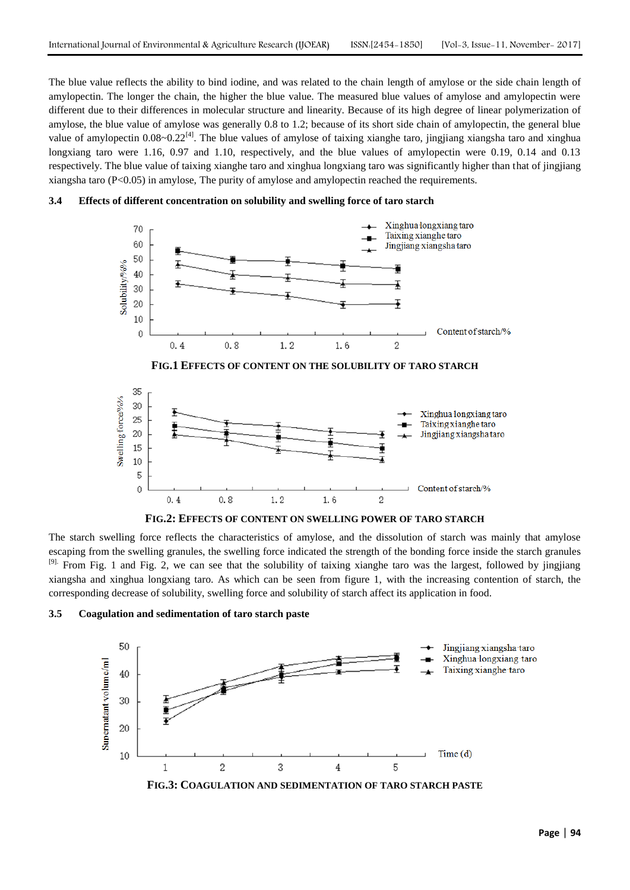The blue value reflects the ability to bind iodine, and was related to the chain length of amylose or the side chain length of amylopectin. The longer the chain, the higher the blue value. The measured blue values of amylose and amylopectin were different due to their differences in molecular structure and linearity. Because of its high degree of linear polymerization of amylose, the blue value of amylose was generally 0.8 to 1.2; because of its short side chain of amylopectin, the general blue value of amylopectin  $0.08~0.22^{[4]}$ . The blue values of amylose of taixing xianghe taro, jingjiang xiangsha taro and xinghua longxiang taro were 1.16, 0.97 and 1.10, respectively, and the blue values of amylopectin were 0.19, 0.14 and 0.13 respectively. The blue value of taixing xianghe taro and xinghua longxiang taro was significantly higher than that of jingjiang xiangsha taro  $(P<0.05)$  in amylose, The purity of amylose and amylopectin reached the requirements.









**FIG.2: EFFECTS OF CONTENT ON SWELLING POWER OF TARO STARCH**

The starch swelling force reflects the characteristics of amylose, and the dissolution of starch was mainly that amylose escaping from the swelling granules, the swelling force indicated the strength of the bonding force inside the starch granules <sup>[9].</sup> From Fig. 1 and Fig. 2, we can see that the solubility of taixing xianghe taro was the largest, followed by jingjiang xiangsha and xinghua longxiang taro. As which can be seen from figure 1, with the increasing contention of starch, the corresponding decrease of solubility, swelling force and solubility of starch affect its application in food.



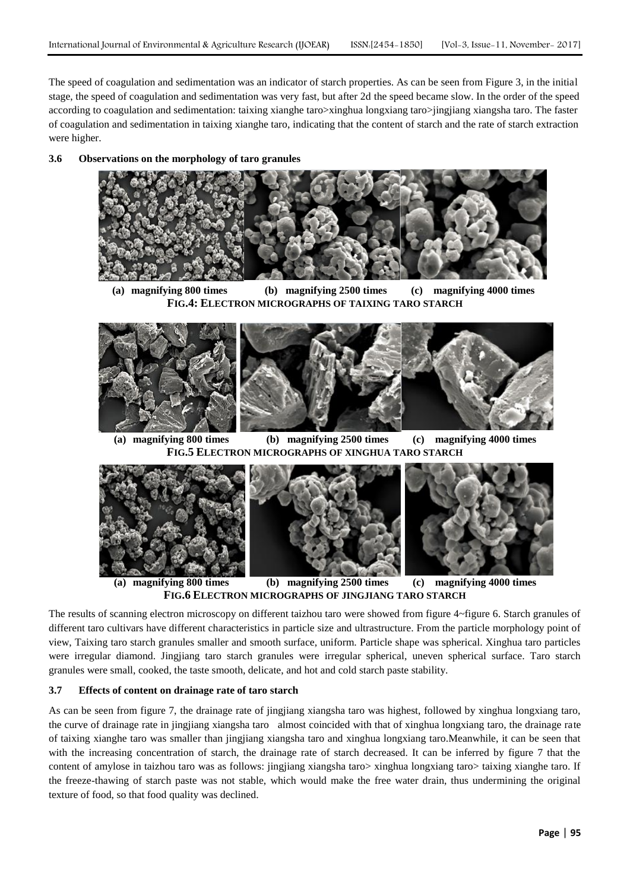The speed of coagulation and sedimentation was an indicator of starch properties. As can be seen from Figure 3, in the initial stage, the speed of coagulation and sedimentation was very fast, but after 2d the speed became slow. In the order of the speed according to coagulation and sedimentation: taixing xianghe taro>xinghua longxiang taro>jingjiang xiangsha taro. The faster of coagulation and sedimentation in taixing xianghe taro, indicating that the content of starch and the rate of starch extraction were higher.

#### **3.6 Observations on the morphology of taro granules**



**(a) magnifying 800 times (b) magnifying 2500 times (c) magnifying 4000 times FIG.4: ELECTRON MICROGRAPHS OF TAIXING TARO STARCH**



**(a) magnifying 800 times (b) magnifying 2500 times (c) magnifying 4000 times FIG.5 ELECTRON MICROGRAPHS OF XINGHUA TARO STARCH**



**(a) magnifying 800 times (b) magnifying 2500 times (c) magnifying 4000 times FIG.6 ELECTRON MICROGRAPHS OF JINGJIANG TARO STARCH**

The results of scanning electron microscopy on different taizhou taro were showed from figure 4~figure 6. Starch granules of different taro cultivars have different characteristics in particle size and ultrastructure. From the particle morphology point of view, Taixing taro starch granules smaller and smooth surface, uniform. Particle shape was spherical. Xinghua taro particles were irregular diamond. Jingjiang taro starch granules were irregular spherical, uneven spherical surface. Taro starch granules were small, cooked, the taste smooth, delicate, and hot and cold starch paste stability.

#### **3.7 Effects of content on drainage rate of taro starch**

As can be seen from figure 7, the drainage rate of jingjiang xiangsha taro was highest, followed by xinghua longxiang taro, the curve of drainage rate in jingjiang xiangsha taro almost coincided with that of xinghua longxiang taro, the drainage rate of taixing xianghe taro was smaller than jingjiang xiangsha taro and xinghua longxiang taro.Meanwhile, it can be seen that with the increasing concentration of starch, the drainage rate of starch decreased. It can be inferred by figure 7 that the content of amylose in taizhou taro was as follows: jingjiang xiangsha taro> xinghua longxiang taro> taixing xianghe taro. If the freeze-thawing of starch paste was not stable, which would make the free water drain, thus undermining the original texture of food, so that food quality was declined.